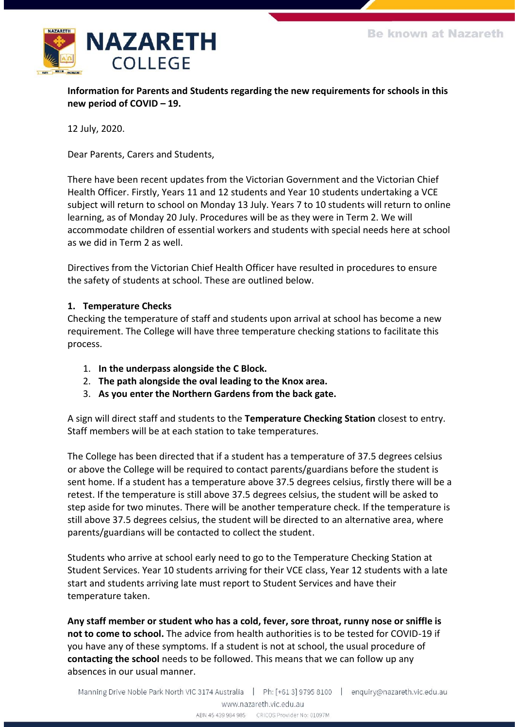

**Information for Parents and Students regarding the new requirements for schools in this new period of COVID – 19.**

12 July, 2020.

Dear Parents, Carers and Students,

There have been recent updates from the Victorian Government and the Victorian Chief Health Officer. Firstly, Years 11 and 12 students and Year 10 students undertaking a VCE subject will return to school on Monday 13 July. Years 7 to 10 students will return to online learning, as of Monday 20 July. Procedures will be as they were in Term 2. We will accommodate children of essential workers and students with special needs here at school as we did in Term 2 as well.

Directives from the Victorian Chief Health Officer have resulted in procedures to ensure the safety of students at school. These are outlined below.

### **1. Temperature Checks**

Checking the temperature of staff and students upon arrival at school has become a new requirement. The College will have three temperature checking stations to facilitate this process.

- 1. **In the underpass alongside the C Block.**
- 2. **The path alongside the oval leading to the Knox area.**
- 3. **As you enter the Northern Gardens from the back gate.**

A sign will direct staff and students to the **Temperature Checking Station** closest to entry. Staff members will be at each station to take temperatures.

The College has been directed that if a student has a temperature of 37.5 degrees celsius or above the College will be required to contact parents/guardians before the student is sent home. If a student has a temperature above 37.5 degrees celsius, firstly there will be a retest. If the temperature is still above 37.5 degrees celsius, the student will be asked to step aside for two minutes. There will be another temperature check. If the temperature is still above 37.5 degrees celsius, the student will be directed to an alternative area, where parents/guardians will be contacted to collect the student.

Students who arrive at school early need to go to the Temperature Checking Station at Student Services. Year 10 students arriving for their VCE class, Year 12 students with a late start and students arriving late must report to Student Services and have their temperature taken.

**Any staff member or student who has a cold, fever, sore throat, runny nose or sniffle is not to come to school.** The advice from health authorities is to be tested for COVID-19 if you have any of these symptoms. If a student is not at school, the usual procedure of **contacting the school** needs to be followed. This means that we can follow up any absences in our usual manner.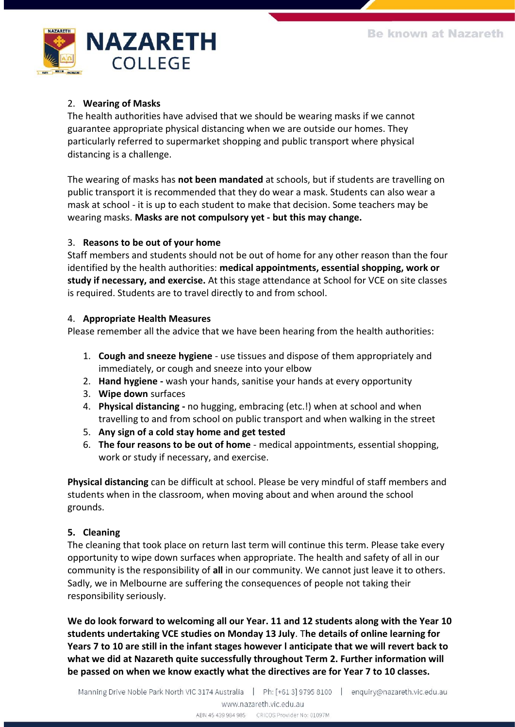

# 2. **Wearing of Masks**

The health authorities have advised that we should be wearing masks if we cannot guarantee appropriate physical distancing when we are outside our homes. They particularly referred to supermarket shopping and public transport where physical distancing is a challenge.

The wearing of masks has **not been mandated** at schools, but if students are travelling on public transport it is recommended that they do wear a mask. Students can also wear a mask at school - it is up to each student to make that decision. Some teachers may be wearing masks. **Masks are not compulsory yet - but this may change.**

# 3. **Reasons to be out of your home**

Staff members and students should not be out of home for any other reason than the four identified by the health authorities: **medical appointments, essential shopping, work or study if necessary, and exercise.** At this stage attendance at School for VCE on site classes is required. Students are to travel directly to and from school.

### 4. **Appropriate Health Measures**

Please remember all the advice that we have been hearing from the health authorities:

- 1. **Cough and sneeze hygiene**  use tissues and dispose of them appropriately and immediately, or cough and sneeze into your elbow
- 2. **Hand hygiene -** wash your hands, sanitise your hands at every opportunity
- 3. **Wipe down** surfaces
- 4. **Physical distancing -** no hugging, embracing (etc.!) when at school and when travelling to and from school on public transport and when walking in the street
- 5. **Any sign of a cold stay home and get tested**
- 6. **The four reasons to be out of home** medical appointments, essential shopping, work or study if necessary, and exercise.

**Physical distancing** can be difficult at school. Please be very mindful of staff members and students when in the classroom, when moving about and when around the school grounds.

# **5. Cleaning**

The cleaning that took place on return last term will continue this term. Please take every opportunity to wipe down surfaces when appropriate. The health and safety of all in our community is the responsibility of **all** in our community. We cannot just leave it to others. Sadly, we in Melbourne are suffering the consequences of people not taking their responsibility seriously.

**We do look forward to welcoming all our Year. 11 and 12 students along with the Year 10 students undertaking VCE studies on Monday 13 July**. T**he details of online learning for Years 7 to 10 are still in the infant stages however l anticipate that we will revert back to what we did at Nazareth quite successfully throughout Term 2. Further information will be passed on when we know exactly what the directives are for Year 7 to 10 classes.**

ABN 45 439 984 985 CRICOS Provider No: 01097M